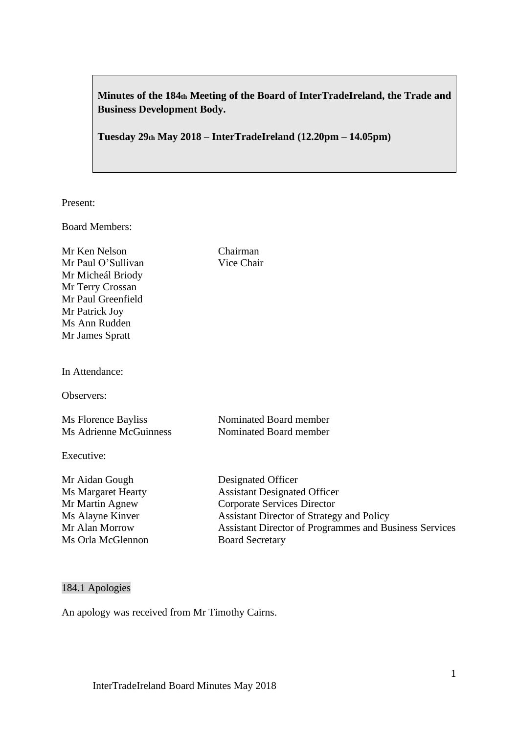**Minutes of the 184th Meeting of the Board of InterTradeIreland, the Trade and Business Development Body.**

**Tuesday 29th May 2018 – InterTradeIreland (12.20pm – 14.05pm)**

Present:

Board Members:

Mr Ken Nelson Chairman Mr Paul O'Sullivan Vice Chair Mr Micheál Briody Mr Terry Crossan Mr Paul Greenfield Mr Patrick Joy Ms Ann Rudden Mr James Spratt

In Attendance:

Observers:

Ms Florence Bayliss Nominated Board member Ms Adrienne McGuinness Nominated Board member

Executive:

Mr Aidan Gough Designated Officer Ms Margaret Hearty **Assistant Designated Officer** Mr Martin Agnew Corporate Services Director Ms Alayne Kinver Assistant Director of Strategy and Policy

Mr Alan Morrow Assistant Director of Programmes and Business Services Ms Orla McGlennon Board Secretary

### 184.1 Apologies

An apology was received from Mr Timothy Cairns.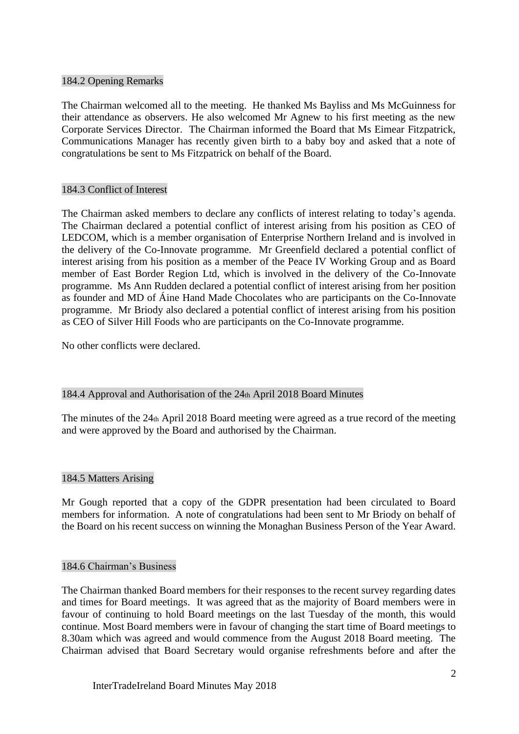### 184.2 Opening Remarks

The Chairman welcomed all to the meeting. He thanked Ms Bayliss and Ms McGuinness for their attendance as observers. He also welcomed Mr Agnew to his first meeting as the new Corporate Services Director. The Chairman informed the Board that Ms Eimear Fitzpatrick, Communications Manager has recently given birth to a baby boy and asked that a note of congratulations be sent to Ms Fitzpatrick on behalf of the Board.

## 184.3 Conflict of Interest

The Chairman asked members to declare any conflicts of interest relating to today's agenda. The Chairman declared a potential conflict of interest arising from his position as CEO of LEDCOM, which is a member organisation of Enterprise Northern Ireland and is involved in the delivery of the Co-Innovate programme. Mr Greenfield declared a potential conflict of interest arising from his position as a member of the Peace IV Working Group and as Board member of East Border Region Ltd, which is involved in the delivery of the Co-Innovate programme. Ms Ann Rudden declared a potential conflict of interest arising from her position as founder and MD of Áine Hand Made Chocolates who are participants on the Co-Innovate programme. Mr Briody also declared a potential conflict of interest arising from his position as CEO of Silver Hill Foods who are participants on the Co-Innovate programme.

No other conflicts were declared.

# 184.4 Approval and Authorisation of the 24th April 2018 Board Minutes

The minutes of the  $24<sub>th</sub>$  April 2018 Board meeting were agreed as a true record of the meeting and were approved by the Board and authorised by the Chairman.

### 184.5 Matters Arising

Mr Gough reported that a copy of the GDPR presentation had been circulated to Board members for information. A note of congratulations had been sent to Mr Briody on behalf of the Board on his recent success on winning the Monaghan Business Person of the Year Award.

### 184.6 Chairman's Business

The Chairman thanked Board members for their responses to the recent survey regarding dates and times for Board meetings. It was agreed that as the majority of Board members were in favour of continuing to hold Board meetings on the last Tuesday of the month, this would continue. Most Board members were in favour of changing the start time of Board meetings to 8.30am which was agreed and would commence from the August 2018 Board meeting. The Chairman advised that Board Secretary would organise refreshments before and after the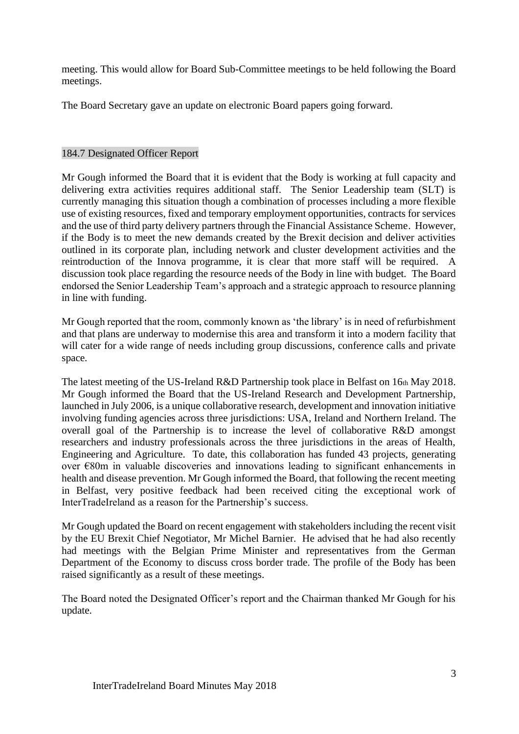meeting. This would allow for Board Sub-Committee meetings to be held following the Board meetings.

The Board Secretary gave an update on electronic Board papers going forward.

### 184.7 Designated Officer Report

Mr Gough informed the Board that it is evident that the Body is working at full capacity and delivering extra activities requires additional staff. The Senior Leadership team (SLT) is currently managing this situation though a combination of processes including a more flexible use of existing resources, fixed and temporary employment opportunities, contracts for services and the use of third party delivery partners through the Financial Assistance Scheme. However, if the Body is to meet the new demands created by the Brexit decision and deliver activities outlined in its corporate plan, including network and cluster development activities and the reintroduction of the Innova programme, it is clear that more staff will be required. A discussion took place regarding the resource needs of the Body in line with budget. The Board endorsed the Senior Leadership Team's approach and a strategic approach to resource planning in line with funding.

Mr Gough reported that the room, commonly known as 'the library' is in need of refurbishment and that plans are underway to modernise this area and transform it into a modern facility that will cater for a wide range of needs including group discussions, conference calls and private space.

The latest meeting of the US-Ireland R&D Partnership took place in Belfast on 16th May 2018. Mr Gough informed the Board that the US-Ireland Research and Development Partnership, launched in July 2006, is a unique collaborative research, development and innovation initiative involving funding agencies across three jurisdictions: USA, Ireland and Northern Ireland. The overall goal of the Partnership is to increase the level of collaborative R&D amongst researchers and industry professionals across the three jurisdictions in the areas of Health, Engineering and Agriculture. To date, this collaboration has funded 43 projects, generating over €80m in valuable discoveries and innovations leading to significant enhancements in health and disease prevention. Mr Gough informed the Board, that following the recent meeting in Belfast, very positive feedback had been received citing the exceptional work of InterTradeIreland as a reason for the Partnership's success.

Mr Gough updated the Board on recent engagement with stakeholders including the recent visit by the EU Brexit Chief Negotiator, Mr Michel Barnier. He advised that he had also recently had meetings with the Belgian Prime Minister and representatives from the German Department of the Economy to discuss cross border trade. The profile of the Body has been raised significantly as a result of these meetings.

The Board noted the Designated Officer's report and the Chairman thanked Mr Gough for his update.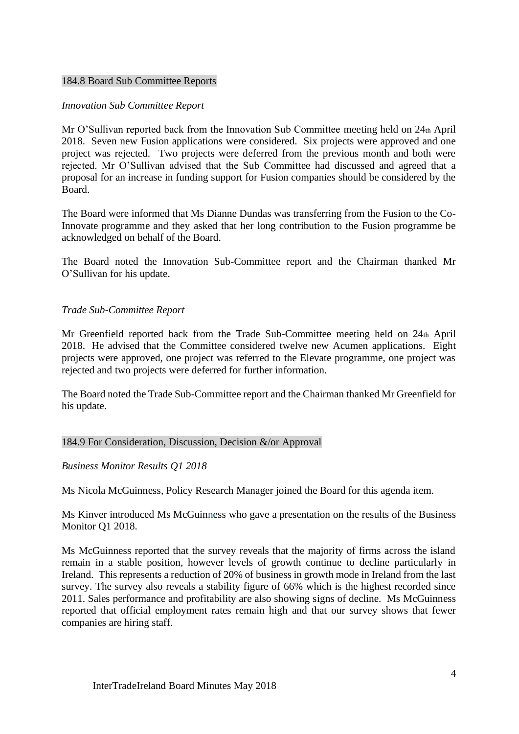### 184.8 Board Sub Committee Reports

### *Innovation Sub Committee Report*

Mr O'Sullivan reported back from the Innovation Sub Committee meeting held on  $24<sub>th</sub>$  April 2018. Seven new Fusion applications were considered. Six projects were approved and one project was rejected. Two projects were deferred from the previous month and both were rejected. Mr O'Sullivan advised that the Sub Committee had discussed and agreed that a proposal for an increase in funding support for Fusion companies should be considered by the Board.

The Board were informed that Ms Dianne Dundas was transferring from the Fusion to the Co-Innovate programme and they asked that her long contribution to the Fusion programme be acknowledged on behalf of the Board.

The Board noted the Innovation Sub-Committee report and the Chairman thanked Mr O'Sullivan for his update.

### *Trade Sub-Committee Report*

Mr Greenfield reported back from the Trade Sub-Committee meeting held on 24th April 2018. He advised that the Committee considered twelve new Acumen applications. Eight projects were approved, one project was referred to the Elevate programme, one project was rejected and two projects were deferred for further information.

The Board noted the Trade Sub-Committee report and the Chairman thanked Mr Greenfield for his update.

### 184.9 For Consideration, Discussion, Decision &/or Approval

### *Business Monitor Results Q1 2018*

Ms Nicola McGuinness, Policy Research Manager joined the Board for this agenda item.

Ms Kinver introduced Ms McGuinness who gave a presentation on the results of the Business Monitor Q1 2018.

Ms McGuinness reported that the survey reveals that the majority of firms across the island remain in a stable position, however levels of growth continue to decline particularly in Ireland. This represents a reduction of 20% of business in growth mode in Ireland from the last survey. The survey also reveals a stability figure of 66% which is the highest recorded since 2011. Sales performance and profitability are also showing signs of decline. Ms McGuinness reported that official employment rates remain high and that our survey shows that fewer companies are hiring staff.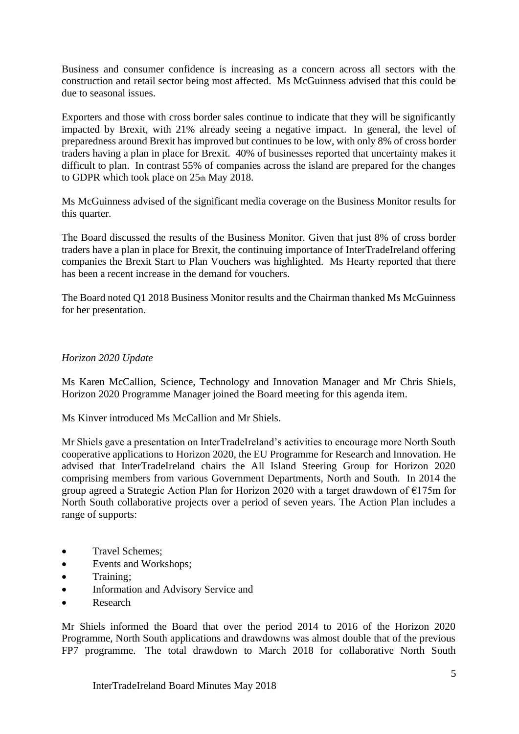Business and consumer confidence is increasing as a concern across all sectors with the construction and retail sector being most affected. Ms McGuinness advised that this could be due to seasonal issues.

Exporters and those with cross border sales continue to indicate that they will be significantly impacted by Brexit, with 21% already seeing a negative impact. In general, the level of preparedness around Brexit has improved but continues to be low, with only 8% of cross border traders having a plan in place for Brexit. 40% of businesses reported that uncertainty makes it difficult to plan. In contrast 55% of companies across the island are prepared for the changes to GDPR which took place on  $25<sub>th</sub>$  May 2018.

Ms McGuinness advised of the significant media coverage on the Business Monitor results for this quarter.

The Board discussed the results of the Business Monitor. Given that just 8% of cross border traders have a plan in place for Brexit, the continuing importance of InterTradeIreland offering companies the Brexit Start to Plan Vouchers was highlighted. Ms Hearty reported that there has been a recent increase in the demand for vouchers.

The Board noted Q1 2018 Business Monitor results and the Chairman thanked Ms McGuinness for her presentation.

### *Horizon 2020 Update*

Ms Karen McCallion, Science, Technology and Innovation Manager and Mr Chris Shiels, Horizon 2020 Programme Manager joined the Board meeting for this agenda item.

Ms Kinver introduced Ms McCallion and Mr Shiels.

Mr Shiels gave a presentation on InterTradeIreland's activities to encourage more North South cooperative applications to Horizon 2020, the EU Programme for Research and Innovation. He advised that InterTradeIreland chairs the All Island Steering Group for Horizon 2020 comprising members from various Government Departments, North and South. In 2014 the group agreed a Strategic Action Plan for Horizon 2020 with a target drawdown of €175m for North South collaborative projects over a period of seven years. The Action Plan includes a range of supports:

- Travel Schemes;
- Events and Workshops;
- Training;
- Information and Advisory Service and
- Research

Mr Shiels informed the Board that over the period 2014 to 2016 of the Horizon 2020 Programme, North South applications and drawdowns was almost double that of the previous FP7 programme. The total drawdown to March 2018 for collaborative North South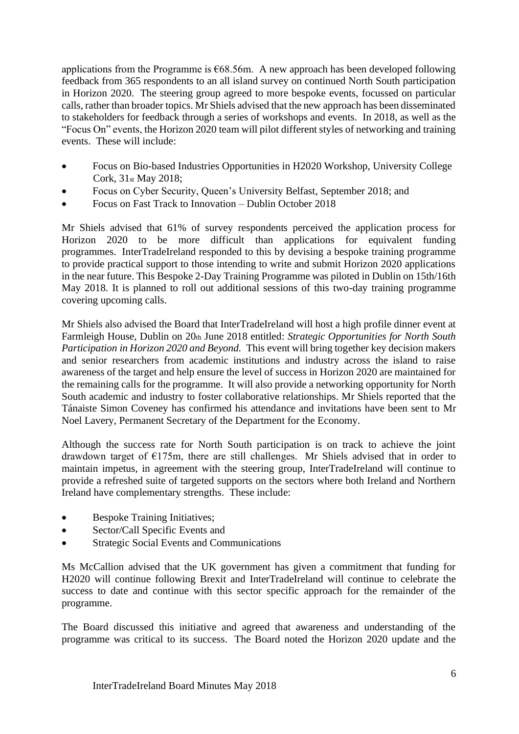applications from the Programme is  $668.56$ m. A new approach has been developed following feedback from 365 respondents to an all island survey on continued North South participation in Horizon 2020. The steering group agreed to more bespoke events, focussed on particular calls, rather than broader topics. Mr Shiels advised that the new approach has been disseminated to stakeholders for feedback through a series of workshops and events. In 2018, as well as the "Focus On" events, the Horizon 2020 team will pilot different styles of networking and training events. These will include:

- Focus on Bio-based Industries Opportunities in H2020 Workshop, University College Cork, 31st May 2018;
- Focus on Cyber Security, Queen's University Belfast, September 2018; and
- Focus on Fast Track to Innovation Dublin October 2018

Mr Shiels advised that 61% of survey respondents perceived the application process for Horizon 2020 to be more difficult than applications for equivalent funding programmes. InterTradeIreland responded to this by devising a bespoke training programme to provide practical support to those intending to write and submit Horizon 2020 applications in the near future. This Bespoke 2-Day Training Programme was piloted in Dublin on 15th/16th May 2018. It is planned to roll out additional sessions of this two-day training programme covering upcoming calls.

Mr Shiels also advised the Board that InterTradeIreland will host a high profile dinner event at Farmleigh House, Dublin on 20th June 2018 entitled: *Strategic Opportunities for North South Participation in Horizon 2020 and Beyond.* This event will bring together key decision makers and senior researchers from academic institutions and industry across the island to raise awareness of the target and help ensure the level of success in Horizon 2020 are maintained for the remaining calls for the programme. It will also provide a networking opportunity for North South academic and industry to foster collaborative relationships. Mr Shiels reported that the Tánaiste Simon Coveney has confirmed his attendance and invitations have been sent to Mr Noel Lavery, Permanent Secretary of the Department for the Economy.

Although the success rate for North South participation is on track to achieve the joint drawdown target of  $E175m$ , there are still challenges. Mr Shiels advised that in order to maintain impetus, in agreement with the steering group, InterTradeIreland will continue to provide a refreshed suite of targeted supports on the sectors where both Ireland and Northern Ireland have complementary strengths. These include:

- Bespoke Training Initiatives;
- Sector/Call Specific Events and
- Strategic Social Events and Communications

Ms McCallion advised that the UK government has given a commitment that funding for H2020 will continue following Brexit and InterTradeIreland will continue to celebrate the success to date and continue with this sector specific approach for the remainder of the programme.

The Board discussed this initiative and agreed that awareness and understanding of the programme was critical to its success. The Board noted the Horizon 2020 update and the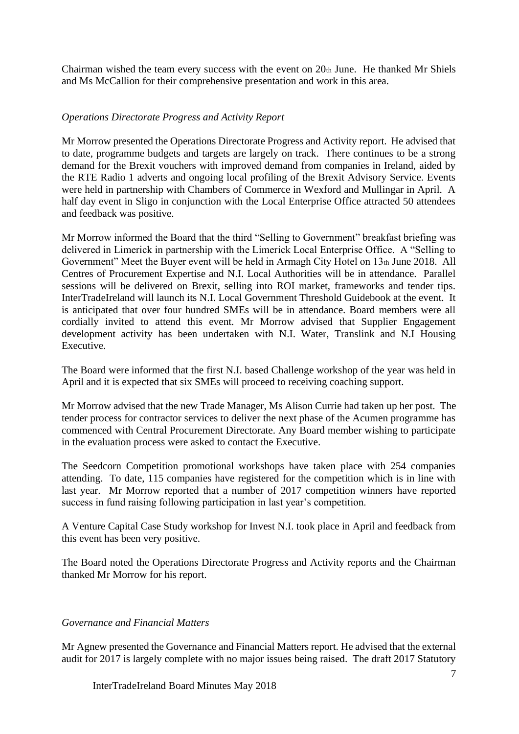Chairman wished the team every success with the event on 20th June. He thanked Mr Shiels and Ms McCallion for their comprehensive presentation and work in this area.

## *Operations Directorate Progress and Activity Report*

Mr Morrow presented the Operations Directorate Progress and Activity report. He advised that to date, programme budgets and targets are largely on track. There continues to be a strong demand for the Brexit vouchers with improved demand from companies in Ireland, aided by the RTE Radio 1 adverts and ongoing local profiling of the Brexit Advisory Service. Events were held in partnership with Chambers of Commerce in Wexford and Mullingar in April. A half day event in Sligo in conjunction with the Local Enterprise Office attracted 50 attendees and feedback was positive.

Mr Morrow informed the Board that the third "Selling to Government" breakfast briefing was delivered in Limerick in partnership with the Limerick Local Enterprise Office. A "Selling to Government" Meet the Buyer event will be held in Armagh City Hotel on 13th June 2018. All Centres of Procurement Expertise and N.I. Local Authorities will be in attendance. Parallel sessions will be delivered on Brexit, selling into ROI market, frameworks and tender tips. InterTradeIreland will launch its N.I. Local Government Threshold Guidebook at the event. It is anticipated that over four hundred SMEs will be in attendance. Board members were all cordially invited to attend this event. Mr Morrow advised that Supplier Engagement development activity has been undertaken with N.I. Water, Translink and N.I Housing Executive.

The Board were informed that the first N.I. based Challenge workshop of the year was held in April and it is expected that six SMEs will proceed to receiving coaching support.

Mr Morrow advised that the new Trade Manager, Ms Alison Currie had taken up her post. The tender process for contractor services to deliver the next phase of the Acumen programme has commenced with Central Procurement Directorate. Any Board member wishing to participate in the evaluation process were asked to contact the Executive.

The Seedcorn Competition promotional workshops have taken place with 254 companies attending. To date, 115 companies have registered for the competition which is in line with last year. Mr Morrow reported that a number of 2017 competition winners have reported success in fund raising following participation in last year's competition.

A Venture Capital Case Study workshop for Invest N.I. took place in April and feedback from this event has been very positive.

The Board noted the Operations Directorate Progress and Activity reports and the Chairman thanked Mr Morrow for his report.

### *Governance and Financial Matters*

Mr Agnew presented the Governance and Financial Matters report. He advised that the external audit for 2017 is largely complete with no major issues being raised. The draft 2017 Statutory

InterTradeIreland Board Minutes May 2018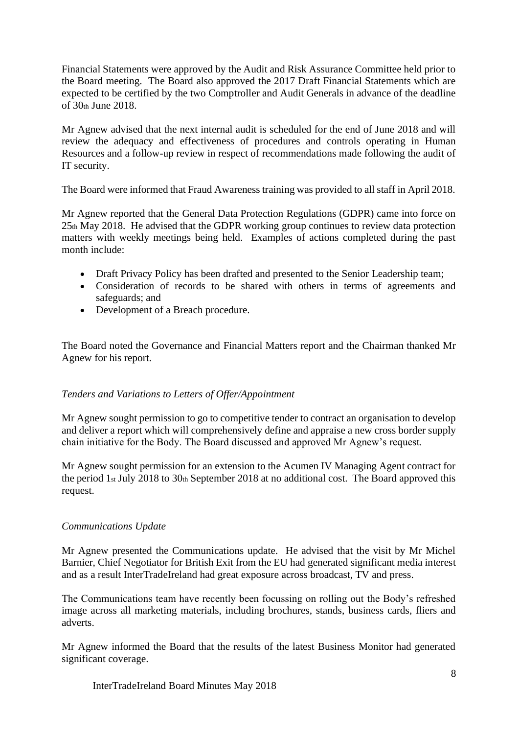Financial Statements were approved by the Audit and Risk Assurance Committee held prior to the Board meeting. The Board also approved the 2017 Draft Financial Statements which are expected to be certified by the two Comptroller and Audit Generals in advance of the deadline of 30th June 2018.

Mr Agnew advised that the next internal audit is scheduled for the end of June 2018 and will review the adequacy and effectiveness of procedures and controls operating in Human Resources and a follow-up review in respect of recommendations made following the audit of IT security.

The Board were informed that Fraud Awareness training was provided to all staff in April 2018.

Mr Agnew reported that the General Data Protection Regulations (GDPR) came into force on 25th May 2018. He advised that the GDPR working group continues to review data protection matters with weekly meetings being held. Examples of actions completed during the past month include:

- Draft Privacy Policy has been drafted and presented to the Senior Leadership team;
- Consideration of records to be shared with others in terms of agreements and safeguards; and
- Development of a Breach procedure.

The Board noted the Governance and Financial Matters report and the Chairman thanked Mr Agnew for his report.

### *Tenders and Variations to Letters of Offer/Appointment*

Mr Agnew sought permission to go to competitive tender to contract an organisation to develop and deliver a report which will comprehensively define and appraise a new cross border supply chain initiative for the Body. The Board discussed and approved Mr Agnew's request.

Mr Agnew sought permission for an extension to the Acumen IV Managing Agent contract for the period 1st July 2018 to 30th September 2018 at no additional cost. The Board approved this request.

### *Communications Update*

Mr Agnew presented the Communications update. He advised that the visit by Mr Michel Barnier, Chief Negotiator for British Exit from the EU had generated significant media interest and as a result InterTradeIreland had great exposure across broadcast, TV and press.

The Communications team have recently been focussing on rolling out the Body's refreshed image across all marketing materials, including brochures, stands, business cards, fliers and adverts.

Mr Agnew informed the Board that the results of the latest Business Monitor had generated significant coverage.

InterTradeIreland Board Minutes May 2018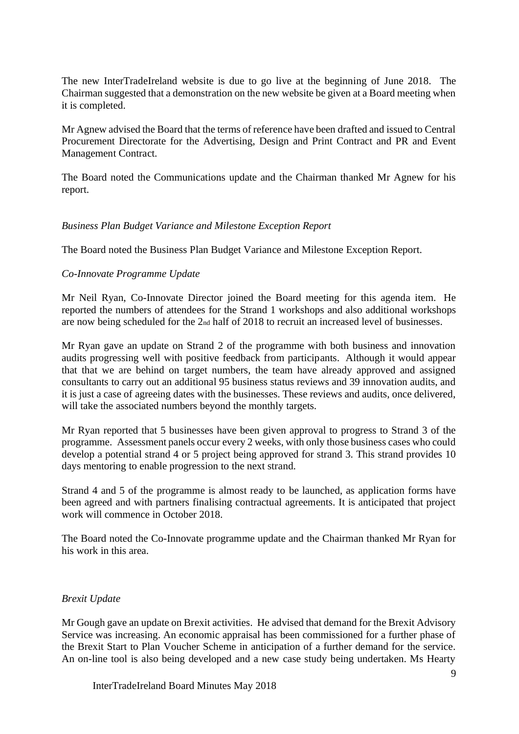The new InterTradeIreland website is due to go live at the beginning of June 2018. The Chairman suggested that a demonstration on the new website be given at a Board meeting when it is completed.

Mr Agnew advised the Board that the terms of reference have been drafted and issued to Central Procurement Directorate for the Advertising, Design and Print Contract and PR and Event Management Contract.

The Board noted the Communications update and the Chairman thanked Mr Agnew for his report.

### *Business Plan Budget Variance and Milestone Exception Report*

The Board noted the Business Plan Budget Variance and Milestone Exception Report.

#### *Co-Innovate Programme Update*

Mr Neil Ryan, Co-Innovate Director joined the Board meeting for this agenda item. He reported the numbers of attendees for the Strand 1 workshops and also additional workshops are now being scheduled for the 2nd half of 2018 to recruit an increased level of businesses.

Mr Ryan gave an update on Strand 2 of the programme with both business and innovation audits progressing well with positive feedback from participants. Although it would appear that that we are behind on target numbers, the team have already approved and assigned consultants to carry out an additional 95 business status reviews and 39 innovation audits, and it is just a case of agreeing dates with the businesses. These reviews and audits, once delivered, will take the associated numbers beyond the monthly targets.

Mr Ryan reported that 5 businesses have been given approval to progress to Strand 3 of the programme. Assessment panels occur every 2 weeks, with only those business cases who could develop a potential strand 4 or 5 project being approved for strand 3. This strand provides 10 days mentoring to enable progression to the next strand.

Strand 4 and 5 of the programme is almost ready to be launched, as application forms have been agreed and with partners finalising contractual agreements. It is anticipated that project work will commence in October 2018.

The Board noted the Co-Innovate programme update and the Chairman thanked Mr Ryan for his work in this area.

#### *Brexit Update*

Mr Gough gave an update on Brexit activities. He advised that demand for the Brexit Advisory Service was increasing. An economic appraisal has been commissioned for a further phase of the Brexit Start to Plan Voucher Scheme in anticipation of a further demand for the service. An on-line tool is also being developed and a new case study being undertaken. Ms Hearty